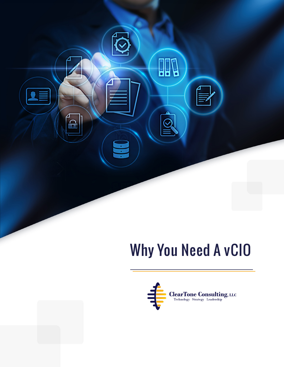

# **Why You Need A vCIO**

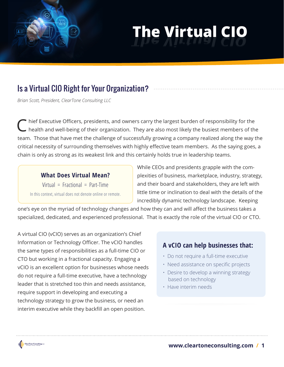# **The Virtual CIO The Virtual CIO**

# Is a Virtual CIO Right for Your Organization?

*Brian Scott, President, ClearTone Consulting LLC*

Chief Executive Officers, presidents, and owners carry the largest burden of responsibility for the health and well-being of their organization. They are also most likely the busiest members of the team. Those that have met the challenge of successfully growing a company realized along the way the critical necessity of surrounding themselves with highly effective team members. As the saying goes, a chain is only as strong as its weakest link and this certainly holds true in leadership teams.

## **What Does Virtual Mean?**  $Virtual = Fractional = Part-Time$ In this context, virtual does not denote online or remote.

While CEOs and presidents grapple with the complexities of business, marketplace, industry, strategy, and their board and stakeholders, they are left with little time or inclination to deal with the details of the incredibly dynamic technology landscape. Keeping

one's eye on the myriad of technology changes and how they can and will affect the business takes a specialized, dedicated, and experienced professional. That is exactly the role of the virtual CIO or CTO.

A virtual CIO (vCIO) serves as an organization's Chief Information or Technology Officer. The vCIO handles the same types of responsibilities as a full-time CIO or CTO but working in a fractional capacity. Engaging a vCIO is an excellent option for businesses whose needs do not require a full-time executive, have a technology leader that is stretched too thin and needs assistance, require support in developing and executing a technology strategy to grow the business, or need an interim executive while they backfill an open position.

## **A vCIO can help businesses that:**

- Do not require a full-time executive
- Need assistance on specific projects
- Desire to develop a winning strategy based on technology
- Have interim needs

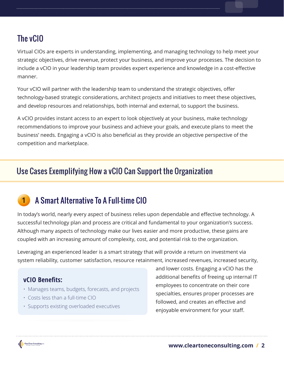## The vCIO

Virtual CIOs are experts in understanding, implementing, and managing technology to help meet your strategic objectives, drive revenue, protect your business, and improve your processes. The decision to include a vCIO in your leadership team provides expert experience and knowledge in a cost-effective manner.

Your vCIO will partner with the leadership team to understand the strategic objectives, offer technology-based strategic considerations, architect projects and initiatives to meet these objectives, and develop resources and relationships, both internal and external, to support the business.

A vCIO provides instant access to an expert to look objectively at your business, make technology recommendations to improve your business and achieve your goals, and execute plans to meet the business' needs. Engaging a vCIO is also beneficial as they provide an objective perspective of the competition and marketplace.

## Use Cases Exemplifying How a vCIO Can Support the Organization

#### A Smart Alternative To A Full-time CIO **1**

In today's world, nearly every aspect of business relies upon dependable and effective technology. A successful technology plan and process are critical and fundamental to your organization's success. Although many aspects of technology make our lives easier and more productive, these gains are coupled with an increasing amount of complexity, cost, and potential risk to the organization.

Leveraging an experienced leader is a smart strategy that will provide a return on investment via system reliability, customer satisfaction, resource retainment, increased revenues, increased security,

## **vCIO Benefits:**

- Manages teams, budgets, forecasts, and projects
- Costs less than a full-time CIO
- Supports existing overloaded executives

and lower costs. Engaging a vCIO has the additional benefits of freeing up internal IT employees to concentrate on their core specialties, ensures proper processes are followed, and creates an effective and enjoyable environment for your staff.

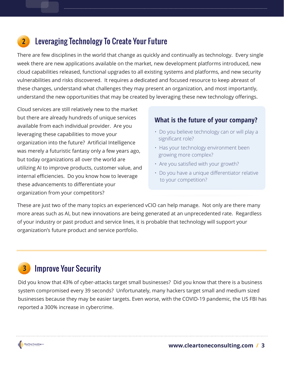#### Leveraging Technology To Create Your Future **2**

There are few disciplines in the world that change as quickly and continually as technology. Every single week there are new applications available on the market, new development platforms introduced, new cloud capabilities released, functional upgrades to all existing systems and platforms, and new security vulnerabilities and risks discovered. It requires a dedicated and focused resource to keep abreast of these changes, understand what challenges they may present an organization, and most importantly, understand the new opportunities that may be created by leveraging these new technology offerings.

Cloud services are still relatively new to the market but there are already hundreds of unique services available from each individual provider. Are you leveraging these capabilities to move your organization into the future? Artificial Intelligence was merely a futuristic fantasy only a few years ago, but today organizations all over the world are utilizing AI to improve products, customer value, and internal efficiencies. Do you know how to leverage these advancements to differentiate your organization from your competitors?

### **What is the future of your company?**

- Do you believe technology can or will play a significant role?
- Has your technology environment been growing more complex?
- Are you satisfied with your growth?
- Do you have a unique differentiator relative to your competition?

These are just two of the many topics an experienced vCIO can help manage. Not only are there many more areas such as AI, but new innovations are being generated at an unprecedented rate. Regardless of your industry or past product and service lines, it is probable that technology will support your organization's future product and service portfolio.

#### Improve Your Security **3**

Did you know that 43% of cyber-attacks target small businesses? Did you know that there is a business system compromised every 39 seconds? Unfortunately, many hackers target small and medium sized businesses because they may be easier targets. Even worse, with the COVID-19 pandemic, the US FBI has reported a 300% increase in cybercrime.